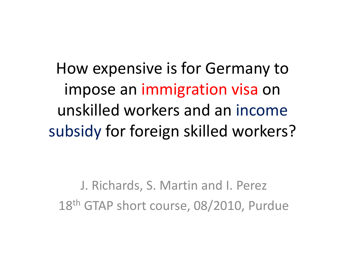How expensive is for Germany to impose an immigration visa on unskilled workers and an income subsidy for foreign skilled workers?

J. Richards, S. Martin and I. Perez 18th GTAP short course, 08/2010, Purdue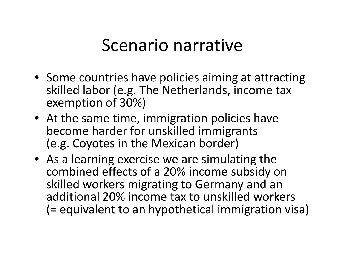## Scenario narrative

- Some countries have policies aiming at attracting skilled labor (e.g. The Netherlands, income tax exemption of 30%)
- At the same time, immigration policies have become harder for unskilled immigrants (e.g. Coyotes in the Mexican border)
- As a learning exercise we are simulating the combined effects of <sup>a</sup> 20% income subsidy on skilled workers migrating to Germany and an additional 20% income tax to unskilled workers (= equivalent to an hypothetical immigration visa)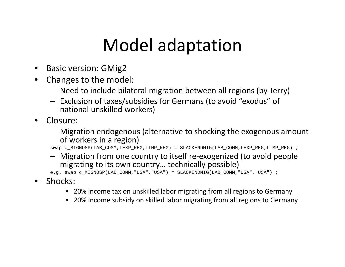# Model adaptation

- • $\bullet$  Basic version: GMig2
- • Changes to the model:
	- Need to include bilateral migration between all regions (by Terry)
	- $-$  Exclusion of taxes/subsidies for Germans (to avoid "exodus" of national unskilled workers)
- • Closure:
	- Migration endogenous (alternative to shocking the exogenous amount of workers in <sup>a</sup> region)

swap c\_MIGNOSP(LAB\_COMM,LEXP\_REG,LIMP\_REG) = SLACKENDMIG(LAB\_COMM,LEXP\_REG,LIMP\_REG) ;

– Migration from one country to itself re‐exogenized (to avoid people migrating to its own country… technically possible)

e.g. swap c\_MIGNOSP(LAB\_COMM,"USA","USA") = SLACKENDMIG(LAB\_COMM,"USA","USA") ;

- Shocks:
	- 20% income tax on unskilled labor migrating from all regions to Germany
	- 20% income subsidy on skilled labor migrating from all regions to Germany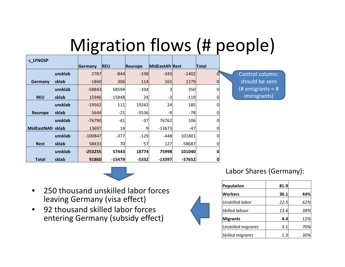# Migration flows (# people)

| c LFNOSP          |         |           |            |                |                        |          |                |                  |
|-------------------|---------|-----------|------------|----------------|------------------------|----------|----------------|------------------|
|                   |         | Germany   | <b>REU</b> | <b>Reurope</b> | <b>MidEastAfr Rest</b> |          | <b>Total</b>   |                  |
|                   | unsklab | 2787      | $-844$     | $-198$         | $-343$                 | $-1402$  | $\overline{0}$ | Control column:  |
| Germany           | sklab   | $-1860$   | 306        | 114            | 161                    | 1279     | $\overline{0}$ | should be zero   |
|                   | unsklab | $-58843$  | 58594      | $-104$         | 31                     | 350      | 0              | (# emigrants = # |
| <b>REU</b>        | sklab   | 15946     | $-15848$   | 24             | $-3$                   | $-119$   | 0              | immigrants)      |
|                   | unsklab | $-19562$  | 111        | 19242          | 24                     | 185      | $\Omega$       |                  |
| Reurope           | sklab   | 5644      | $-21$      | $-5536$        | -9                     | $-78$    |                |                  |
|                   | unsklab | $-76790$  | $-41$      | $-37$          | 76762                  | 106      |                |                  |
| MidEastNAfr sklab |         | 13697     | 14         | 9              | $-13673$               | $-47$    |                |                  |
|                   | unsklab | $-100847$ | $-377$     | $-129$         | $-448$                 | 101801   | 0              |                  |
| <b>Rest</b>       | sklab   | 58433     | 70         | 57             | 127                    | -58687   |                |                  |
|                   | unsklab | $-253255$ | 57443      | 18774          | 75998                  | 101040   | 0              |                  |
| <b>Total</b>      | sklab   | 91860     | $-15479$   | $-5332$        | $-13397$               | $-57652$ | 0              |                  |



- $\bullet$  250 thousand unskilled labor forces leaving Germany (visa effect)
- $\bullet$  92 thousand skilled labor forces entering Germany (subsidy effect)



| Population         | 81.9 |     |
|--------------------|------|-----|
| <b>Workers</b>     | 36.1 | 44% |
| Unskilled labor    | 22.5 | 62% |
| Skilled labour     | 13.6 | 38% |
| <b>Migrants</b>    | 4.4  | 12% |
| Unskilled migrants | 3.1  | 70% |
|                    |      |     |

Labor Shares (Germany):

*Skilled migrants* 1.3 *30%*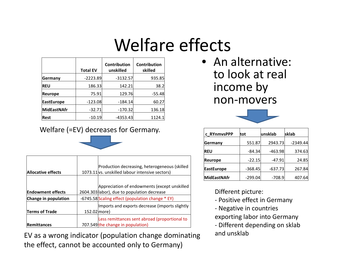# Welfare effects

|                    | <b>Total EV</b> | Contribution<br>unskilled | Contribution<br>skilled |
|--------------------|-----------------|---------------------------|-------------------------|
| Germany            | $-2223.89$      | $-3132.57$                | 935.85                  |
| <b>REU</b>         | 186.33          | 142.21                    | 38.2                    |
| Reurope            | 75.91           | 129.76                    | $-55.48$                |
| <b>EastEurope</b>  | $-123.08$       | $-184.14$                 | 60.27                   |
| <b>MidEastNAfr</b> | $-32.71$        | $-170.32$                 | 136.18                  |
| Rest               | $-10.19$        | $-4353.43$                | 1124.1                  |

#### Welfare (=EV) decreases for Germany.

| Allocative effects       |              | Production decreasing, heterogeneous (skilled<br>1073.11 vs. unskilled labour intensive sectors) |
|--------------------------|--------------|--------------------------------------------------------------------------------------------------|
| <b>Endowment effects</b> |              | Appreciation of endowments (except unskilled<br>2604.303 labor), due to population decrease      |
| Change in population     |              | -6745.58 Scaling effect (population change * EY)                                                 |
| <b>Terms of Trade</b>    | 152.02 more) | Imports and exports decrease (imports slightly                                                   |
| <b>Remittances</b>       |              | Less remittances sent abroad (proportional to<br>707.549 the change in population)               |

EV as <sup>a</sup> wrong indicator (population change dominating the effect, cannot be accounted only to Germany)

• An alternative: to look at real income by non‐movers



| c RYnmvsPPP       | tot       | unsklab   | sklab      |
|-------------------|-----------|-----------|------------|
| Germany           | 551.87    | 2943.73   | $-2349.44$ |
| <b>REU</b>        | $-84.34$  | $-463.98$ | 374.63     |
| <b>Reurope</b>    | $-22.15$  | $-47.91$  | 24.85      |
| <b>EastEurope</b> | $-368.45$ | $-637.73$ | 267.84     |
| MidEastNAfr       | $-299.04$ | $-708.9$  | 407.64     |

#### Different picture:

- ‐ Positive effect in Germany
- ‐ Negative in countries
- exporting labor into Germany
- ‐ Different depending on sklab and unsklab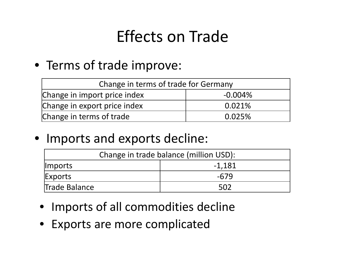## Effects on Trade

### • Terms of trade improve:

| Change in terms of trade for Germany |            |  |  |
|--------------------------------------|------------|--|--|
| Change in import price index         | $-0.004\%$ |  |  |
| Change in export price index         | 0.021%     |  |  |
| Change in terms of trade             | 0.025%     |  |  |

### • Imports and exports decline:

| Change in trade balance (million USD):   |      |  |  |
|------------------------------------------|------|--|--|
| -1.181<br><i><u><b>I</b></u></i> Imports |      |  |  |
| Exports                                  | -679 |  |  |
| Trade Balance                            | 502  |  |  |

- Imports of all commodities decline
- Exports are more complicated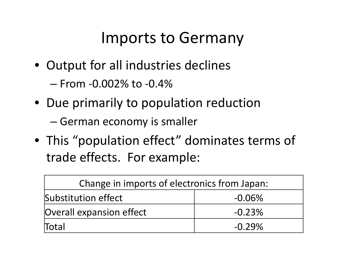### Imports to Germany

- Output for all industries declines
	- From ‐0.002% to ‐0.4%
- Due primarily to population reduction
	- –— German economy is smaller
- This "population effect" dominates terms of trade effects. For example:

| Change in imports of electronics from Japan: |           |  |  |
|----------------------------------------------|-----------|--|--|
| Substitution effect                          | $-0.06\%$ |  |  |
| <b>Overall expansion effect</b>              | $-0.23%$  |  |  |
| Total                                        | $-0.29%$  |  |  |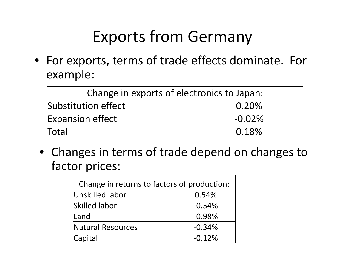## Exports from Germany

• For exports, terms of trade effects dominate. For example:

| Change in exports of electronics to Japan: |           |  |  |
|--------------------------------------------|-----------|--|--|
| Substitution effect<br>0.20%               |           |  |  |
| <b>Expansion effect</b>                    | $-0.02\%$ |  |  |
| Total                                      | 0.18%     |  |  |

• Changes in terms of trade depend on changes to factor prices:

| Change in returns to factors of production: |          |  |  |
|---------------------------------------------|----------|--|--|
| Unskilled labor<br>0.54%                    |          |  |  |
| <b>Skilled labor</b>                        | $-0.54%$ |  |  |
| lLand                                       | $-0.98%$ |  |  |
| Natural Resources                           | $-0.34%$ |  |  |
| Capital                                     | $-0.12%$ |  |  |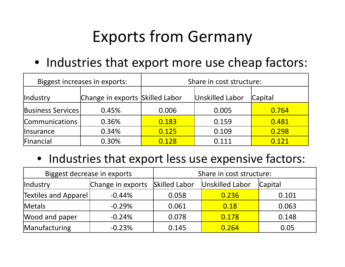## Exports from Germany

• Industries that export more use cheap factors:

|                                | Biggest increases in exports:   | Share in cost structure: |                 |                |  |
|--------------------------------|---------------------------------|--------------------------|-----------------|----------------|--|
| <i><u><b>Industry</b></u></i>  | Change in exports Skilled Labor |                          | Unskilled Labor | <b>Capital</b> |  |
| <b>Business Services</b>       | 0.45%                           | 0.006                    | 0.005           | 0.764          |  |
| <b>Communications</b>          | 0.36%                           | 0.183                    | 0.159           | 0.481          |  |
| <i><u><b>Insurance</b></u></i> | 0.34%                           | 0.125                    | 0.109           | 0.298          |  |
| Financial                      | 0.30%                           | 0.128                    | 0.111           | 0.121          |  |

• Industries that export less use expensive factors:

| Biggest decrease in exports |                   | Share in cost structure: |                 |         |  |
|-----------------------------|-------------------|--------------------------|-----------------|---------|--|
| Industry                    | Change in exports | <b>Skilled Labor</b>     | Unskilled Labor | Capital |  |
| Textiles and Apparel        | $-0.44%$          | 0.058                    | 0.236           | 0.101   |  |
| Metals                      | $-0.29%$          | 0.061                    | 0.18            | 0.063   |  |
| Wood and paper              | $-0.24%$          | 0.078                    | 0.178           | 0.148   |  |
| Manufacturing               | $-0.23%$          | 0.145                    | 0.264           | 0.05    |  |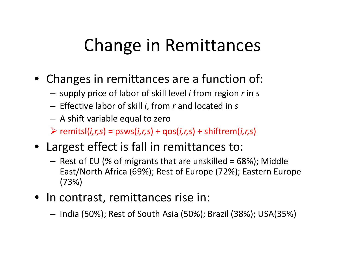# Change in Remittances

- Changes in remittances are <sup>a</sup> function of:
	- –supply price of labor of skill level *i* from region *<sup>r</sup>* in *<sup>s</sup>*
	- – $-$  Effective labor of skill *i,* from  $r$  and located in  $s$
	- A shift variable equal to zero
	- remitsl(*i,r,s*) <sup>=</sup> psws(*i,r,s*) <sup>+</sup> qos(*i,r,s*) <sup>+</sup> shiftrem(*i,r,s*)
- Largest effect is fall in remittances to:
	- Rest of EU (% of migrants that are unskilled <sup>=</sup> 68%); Middle East/North Africa (69%); Rest of Europe (72%); Eastern Europe (73%)
- In contrast, remittances rise in:
	- –— India (50%); Rest of South Asia (50%); Brazil (38%); USA(35%)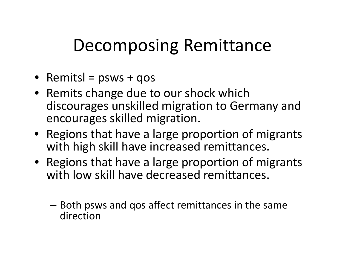# Decomposing Remittance

- Remitsl <sup>=</sup> psws <sup>+</sup> qos
- Remits change due to our shock which discourages unskilled migration to Germany and encourages skilled migration.
- Regions that have <sup>a</sup> large proportion of migrants with high skill have increased remittances.
- Regions that have <sup>a</sup> large proportion of migrants with low skill have decreased remittances.
	- – $-$  Both psws and qos affect remittances in the same direction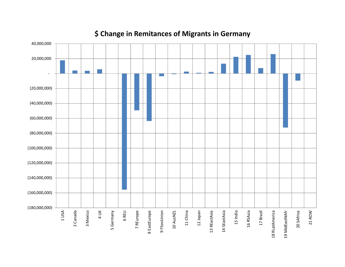

### **\$ Change in Remitances of Migrants in Germany**